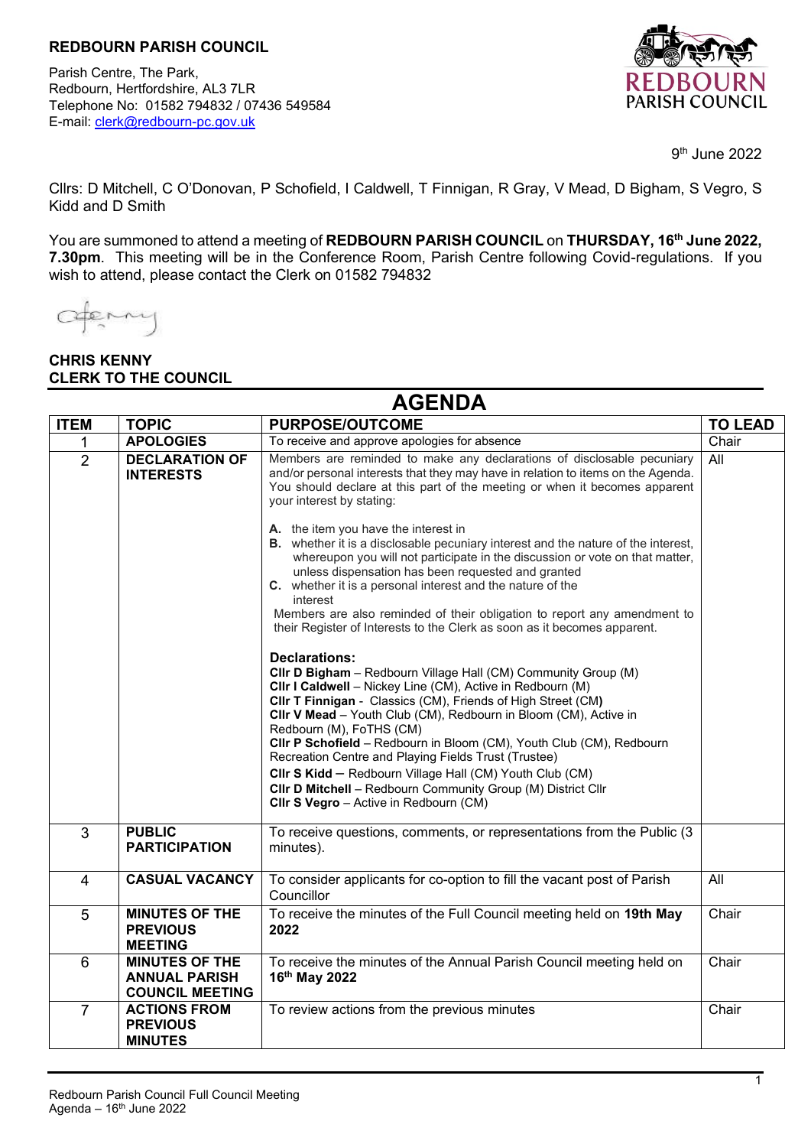## **REDBOURN PARISH COUNCIL**

Parish Centre, The Park, Redbourn, Hertfordshire, AL3 7LR Telephone No: 01582 794832 / 07436 549584 E-mail: [clerk@redbourn-pc.gov.uk](mailto:clerk@redbourn-pc.gov.uk)



9 th June 2022

Cllrs: D Mitchell, C O'Donovan, P Schofield, I Caldwell, T Finnigan, R Gray, V Mead, D Bigham, S Vegro, S Kidd and D Smith

You are summoned to attend a meeting of **REDBOURN PARISH COUNCIL** on **THURSDAY, 16th June 2022, 7.30pm**. This meeting will be in the Conference Room, Parish Centre following Covid-regulations. If you wish to attend, please contact the Clerk on 01582 794832

## **CHRIS KENNY CLERK TO THE COUNCIL**

## **AGENDA ITEM TOPIC PURPOSE/OUTCOME TO LEAD** 1 **APOLOGIES** To receive and approve apologies for absence Chair 2 **DECLARATION OF INTERESTS** Members are reminded to make any declarations of disclosable pecuniary and/or personal interests that they may have in relation to items on the Agenda. You should declare at this part of the meeting or when it becomes apparent your interest by stating: **A.** the item you have the interest in **B.** whether it is a disclosable pecuniary interest and the nature of the interest, whereupon you will not participate in the discussion or vote on that matter, unless dispensation has been requested and granted **C.** whether it is a personal interest and the nature of the interest Members are also reminded of their obligation to report any amendment to their Register of Interests to the Clerk as soon as it becomes apparent. **Declarations: Cllr D Bigham** – Redbourn Village Hall (CM) Community Group (M) **Cllr I Caldwell** – Nickey Line (CM), Active in Redbourn (M) **Cllr T Finnigan** - Classics (CM), Friends of High Street (CM**) Cllr V Mead** – Youth Club (CM), Redbourn in Bloom (CM), Active in Redbourn (M), FoTHS (CM) **Cllr P Schofield** – Redbourn in Bloom (CM), Youth Club (CM), Redbourn Recreation Centre and Playing Fields Trust (Trustee) **Cllr S Kidd** – Redbourn Village Hall (CM) Youth Club (CM) **Cllr D Mitchell** – Redbourn Community Group (M) District Cllr **Cllr S Vegro** – Active in Redbourn (CM) All 3 **PUBLIC PARTICIPATION** To receive questions, comments, or representations from the Public (3 minutes). 4 **CASUAL VACANCY** To consider applicants for co-option to fill the vacant post of Parish Councillor All 5 **MINUTES OF THE PREVIOUS MEETING** To receive the minutes of the Full Council meeting held on **19th May 2022 Chair** 6 **MINUTES OF THE ANNUAL PARISH COUNCIL MEETING** To receive the minutes of the Annual Parish Council meeting held on **16th May 2022** Chair 7 **ACTIONS FROM PREVIOUS MINUTES** To review actions from the previous minutes **Chair** Chair